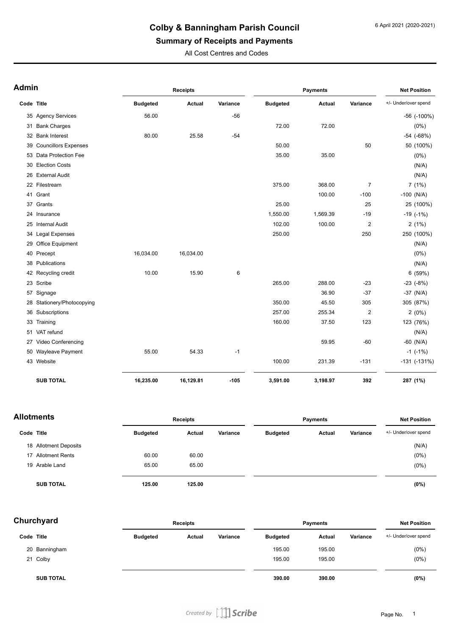# **Colby & Banningham Parish Council**

# **Summary of Receipts and Payments**

All Cost Centres and Codes

| <b>Admin</b> |                             | <b>Receipts</b> |           |          |                 | <b>Net Position</b> |                |                      |
|--------------|-----------------------------|-----------------|-----------|----------|-----------------|---------------------|----------------|----------------------|
| Code Title   |                             | <b>Budgeted</b> | Actual    | Variance | <b>Budgeted</b> | Actual              | Variance       | +/- Under/over spend |
|              | 35 Agency Services          | 56.00           |           | $-56$    |                 |                     |                | $-56$ ( $-100\%$ )   |
|              | 31 Bank Charges             |                 |           |          | 72.00           | 72.00               |                | $(0\%)$              |
|              | 32 Bank Interest            | 80.00           | 25.58     | $-54$    |                 |                     |                | $-54$ $(-68%)$       |
| 39           | <b>Councillors Expenses</b> |                 |           |          | 50.00           |                     | 50             | 50 (100%)            |
|              | 53 Data Protection Fee      |                 |           |          | 35.00           | 35.00               |                | $(0\%)$              |
|              | 30 Election Costs           |                 |           |          |                 |                     |                | (N/A)                |
|              | 26 External Audit           |                 |           |          |                 |                     |                | (N/A)                |
|              | 22 Filestream               |                 |           |          | 375.00          | 368.00              | $\overline{7}$ | 7(1%)                |
|              | 41 Grant                    |                 |           |          |                 | 100.00              | $-100$         | $-100$ (N/A)         |
|              | 37 Grants                   |                 |           |          | 25.00           |                     | 25             | 25 (100%)            |
|              | 24 Insurance                |                 |           |          | 1,550.00        | 1,569.39            | $-19$          | $-19$ $(-1%)$        |
|              | 25 Internal Audit           |                 |           |          | 102.00          | 100.00              | 2              | 2(1%)                |
|              | 34 Legal Expenses           |                 |           |          | 250.00          |                     | 250            | 250 (100%)           |
| 29           | Office Equipment            |                 |           |          |                 |                     |                | (N/A)                |
|              | 40 Precept                  | 16,034.00       | 16,034.00 |          |                 |                     |                | $(0\%)$              |
|              | 38 Publications             |                 |           |          |                 |                     |                | (N/A)                |
|              | 42 Recycling credit         | 10.00           | 15.90     | 6        |                 |                     |                | 6 (59%)              |
|              | 23 Scribe                   |                 |           |          | 265.00          | 288.00              | $-23$          | $-23$ $(-8%)$        |
|              | 57 Signage                  |                 |           |          |                 | 36.90               | $-37$          | $-37$ (N/A)          |
|              | 28 Stationery/Photocopying  |                 |           |          | 350.00          | 45.50               | 305            | 305 (87%)            |
|              | 36 Subscriptions            |                 |           |          | 257.00          | 255.34              | 2              | 2(0%)                |
|              | 33 Training                 |                 |           |          | 160.00          | 37.50               | 123            | 123 (76%)            |
|              | 51 VAT refund               |                 |           |          |                 |                     |                | (N/A)                |
|              | 27 Video Conferencing       |                 |           |          |                 | 59.95               | $-60$          | $-60$ (N/A)          |
|              | 50 Wayleave Payment         | 55.00           | 54.33     | $-1$     |                 |                     |                | $-1$ ( $-1\%$ )      |
|              | 43 Website                  |                 |           |          | 100.00          | 231.39              | $-131$         | $-131$ $(-131%)$     |
|              | <b>SUB TOTAL</b>            | 16,235.00       | 16,129.81 | $-105$   | 3,591.00        | 3,198.97            | 392            | 287 (1%)             |

| <b>Allotments</b> |                       | <b>Receipts</b> |        |          | <b>Payments</b> | <b>Net Position</b> |          |                      |
|-------------------|-----------------------|-----------------|--------|----------|-----------------|---------------------|----------|----------------------|
| Code Title        |                       | <b>Budgeted</b> | Actual | Variance | <b>Budgeted</b> | Actual              | Variance | +/- Under/over spend |
|                   | 18 Allotment Deposits |                 |        |          |                 |                     |          | (N/A)                |
|                   | 17 Allotment Rents    | 60.00           | 60.00  |          |                 |                     |          | $(0\%)$              |
|                   | 19 Arable Land        | 65.00           | 65.00  |          |                 |                     |          | $(0\%)$              |
|                   | <b>SUB TOTAL</b>      | 125.00          | 125.00 |          |                 |                     |          | (0%)                 |

| Churchyard |                  | <b>Receipts</b> |        |          | <b>Payments</b> | <b>Net Position</b> |          |                      |
|------------|------------------|-----------------|--------|----------|-----------------|---------------------|----------|----------------------|
| Code Title |                  | <b>Budgeted</b> | Actual | Variance | <b>Budgeted</b> | Actual              | Variance | +/- Under/over spend |
|            | 20 Banningham    |                 |        |          | 195.00          | 195.00              |          | $(0\%)$              |
|            | 21 Colby         |                 |        |          | 195.00          | 195.00              |          | $(0\%)$              |
|            | <b>SUB TOTAL</b> |                 |        |          | 390.00          | 390.00              |          | (0%)                 |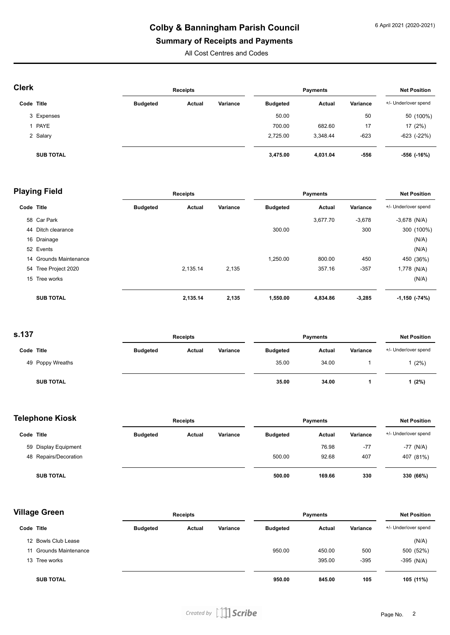## **Colby & Banningham Parish Council**

### **Summary of Receipts and Payments**

All Cost Centres and Codes

| <b>Clerk</b> |                  | <b>Receipts</b> |        |          |                 | <b>Net Position</b> |          |                      |
|--------------|------------------|-----------------|--------|----------|-----------------|---------------------|----------|----------------------|
| Code Title   |                  | <b>Budgeted</b> | Actual | Variance | <b>Budgeted</b> | Actual              | Variance | +/- Under/over spend |
|              | 3 Expenses       |                 |        |          | 50.00           |                     | 50       | 50 (100%)            |
|              | 1 PAYE           |                 |        |          | 700.00          | 682.60              | 17       | 17 (2%)              |
|              | 2 Salary         |                 |        |          | 2,725.00        | 3,348.44            | $-623$   | $-623$ $(-22%)$      |
|              | <b>SUB TOTAL</b> |                 |        |          | 3,475.00        | 4,031.04            | -556     | -556 (-16%)          |

| <b>Playing Field</b> |                        | <b>Receipts</b> |          |          | <b>Payments</b> |               |          | <b>Net Position</b>  |  |
|----------------------|------------------------|-----------------|----------|----------|-----------------|---------------|----------|----------------------|--|
| Code Title           |                        | <b>Budgeted</b> | Actual   | Variance | <b>Budgeted</b> | <b>Actual</b> | Variance | +/- Under/over spend |  |
|                      | 58 Car Park            |                 |          |          |                 | 3,677.70      | $-3,678$ | $-3,678$ (N/A)       |  |
| 44                   | Ditch clearance        |                 |          |          | 300.00          |               | 300      | 300 (100%)           |  |
|                      | 16 Drainage            |                 |          |          |                 |               |          | (N/A)                |  |
|                      | 52 Events              |                 |          |          |                 |               |          | (N/A)                |  |
|                      | 14 Grounds Maintenance |                 |          |          | 1,250.00        | 800.00        | 450      | 450 (36%)            |  |
|                      | 54 Tree Project 2020   |                 | 2,135.14 | 2,135    |                 | 357.16        | $-357$   | 1,778 (N/A)          |  |
|                      | 15 Tree works          |                 |          |          |                 |               |          | (N/A)                |  |
|                      | <b>SUB TOTAL</b>       |                 | 2,135.14 | 2,135    | 1,550.00        | 4,834.86      | $-3,285$ | $-1,150$ $(-74%)$    |  |

**s.137**

| 5. I J /         |  | <b>Receipts</b> |               |          | <b>Payments</b> |        |          | <b>Net Position</b>  |  |
|------------------|--|-----------------|---------------|----------|-----------------|--------|----------|----------------------|--|
| Code Title       |  | <b>Budgeted</b> | <b>Actual</b> | Variance | <b>Budgeted</b> | Actual | Variance | +/- Under/over spend |  |
| 49 Poppy Wreaths |  |                 |               |          | 35.00           | 34.00  |          | $1(2\%)$             |  |
| <b>SUB TOTAL</b> |  |                 |               |          | 35.00           | 34.00  |          | 1(2%)                |  |

| <b>Telephone Kiosk</b> |                       | <b>Receipts</b> |        |          | <b>Payments</b> |               |          | <b>Net Position</b>  |  |
|------------------------|-----------------------|-----------------|--------|----------|-----------------|---------------|----------|----------------------|--|
| Code Title             |                       | <b>Budgeted</b> | Actual | Variance | <b>Budgeted</b> | <b>Actual</b> | Variance | +/- Under/over spend |  |
|                        | 59 Display Equipment  |                 |        |          |                 | 76.98         | $-77$    | $-77$ (N/A)          |  |
|                        | 48 Repairs/Decoration |                 |        |          | 500.00          | 92.68         | 407      | 407 (81%)            |  |
|                        | <b>SUB TOTAL</b>      |                 |        |          | 500.00          | 169.66        | 330      | 330 (66%)            |  |

| <b>Village Green</b> |                        |                 | <b>Receipts</b> |          |                 | <b>Payments</b> |          |                      |
|----------------------|------------------------|-----------------|-----------------|----------|-----------------|-----------------|----------|----------------------|
| Code Title           |                        | <b>Budgeted</b> | Actual          | Variance | <b>Budgeted</b> | Actual          | Variance | +/- Under/over spend |
|                      | 12 Bowls Club Lease    |                 |                 |          |                 |                 |          | (N/A)                |
|                      | 11 Grounds Maintenance |                 |                 |          | 950.00          | 450.00          | 500      | 500 (52%)            |
| 13                   | Tree works             |                 |                 |          |                 | 395.00          | $-395$   | $-395$ (N/A)         |
|                      | <b>SUB TOTAL</b>       |                 |                 |          | 950.00          | 845.00          | 105      | 105 (11%)            |